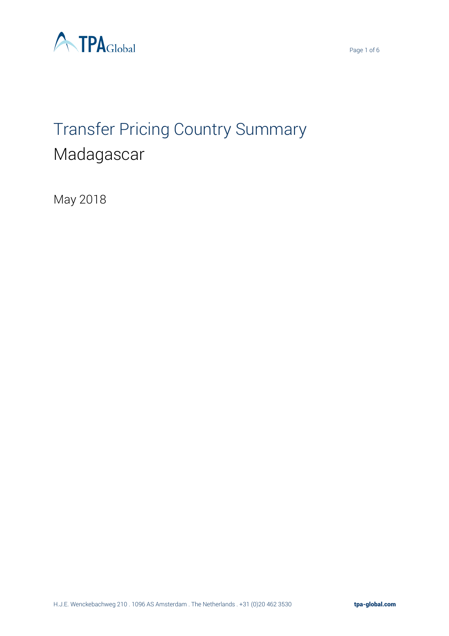



# Transfer Pricing Country Summary Madagascar

May 2018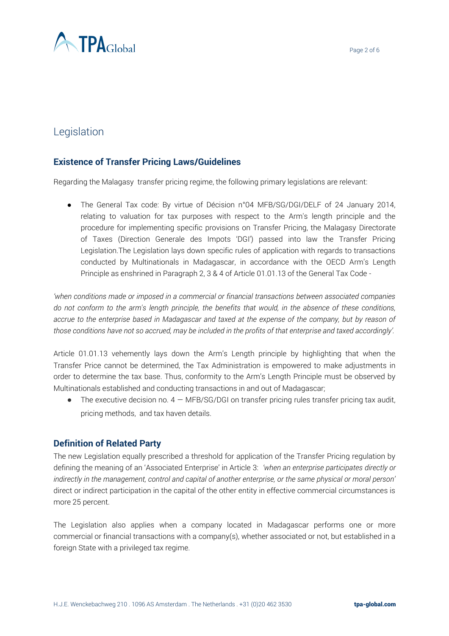

# Legislation

# **Existence of Transfer Pricing Laws/Guidelines**

Regarding the Malagasy transfer pricing regime, the following primary legislations are relevant:

• The General Tax code: By virtue of Décision n°04 MFB/SG/DGI/DELF of 24 January 2014, relating to valuation for tax purposes with respect to the Arm's length principle and the procedure for implementing specific provisions on Transfer Pricing, the Malagasy Directorate of Taxes (Direction Generale des Impots 'DGI') passed into law the Transfer Pricing Legislation.The Legislation lays down specific rules of application with regards to transactions conducted by Multinationals in Madagascar, in accordance with the OECD Arm's Length Principle as enshrined in Paragraph 2, 3 & 4 of Article 01.01.13 of the General Tax Code -

*'when conditions made or imposed in a commercial or financial transactions between associated companies do not conform to the arm's length principle, the benefits that would, in the absence of these conditions, accrue to the enterprise based in Madagascar and taxed at the expense of the company, but by reason of those conditions have not so accrued, may be included in the profits of that enterprise and taxed accordingly'.* 

Article 01.01.13 vehemently lays down the Arm's Length principle by highlighting that when the Transfer Price cannot be determined, the Tax Administration is empowered to make adjustments in order to determine the tax base. Thus, conformity to the Arm's Length Principle must be observed by Multinationals established and conducting transactions in and out of Madagascar;

 $\bullet$  The executive decision no.  $4 - \text{MFB/SG/DG}$  on transfer pricing rules transfer pricing tax audit, pricing methods, and tax haven details.

# **Definition of Related Party**

The new Legislation equally prescribed a threshold for application of the Transfer Pricing regulation by defining the meaning of an 'Associated Enterprise' in Article 3: *'when an enterprise participates directly or indirectly in the management, control and capital of another enterprise, or the same physical or moral person'* direct or indirect participation in the capital of the other entity in effective commercial circumstances is more 25 percent.

The Legislation also applies when a company located in Madagascar performs one or more commercial or financial transactions with a company(s), whether associated or not, but established in a foreign State with a privileged tax regime.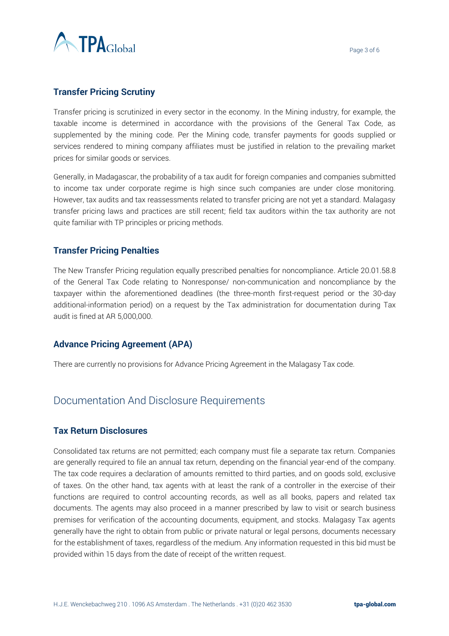

# **Transfer Pricing Scrutiny**

Transfer pricing is scrutinized in every sector in the economy. In the Mining industry, for example, the taxable income is determined in accordance with the provisions of the General Tax Code, as supplemented by the mining code. Per the Mining code, transfer payments for goods supplied or services rendered to mining company affiliates must be justified in relation to the prevailing market prices for similar goods or services.

Generally, in Madagascar, the probability of a tax audit for foreign companies and companies submitted to income tax under corporate regime is high since such companies are under close monitoring. However, tax audits and tax reassessments related to transfer pricing are not yet a standard. Malagasy transfer pricing laws and practices are still recent; field tax auditors within the tax authority are not quite familiar with TP principles or pricing methods.

# **Transfer Pricing Penalties**

The New Transfer Pricing regulation equally prescribed penalties for noncompliance. Article 20.01.58.8 of the General Tax Code relating to Nonresponse/ non-communication and noncompliance by the taxpayer within the aforementioned deadlines (the three-month first-request period or the 30-day additional-information period) on a request by the Tax administration for documentation during Tax audit is fined at AR 5,000,000.

#### **Advance Pricing Agreement (APA)**

There are currently no provisions for Advance Pricing Agreement in the Malagasy Tax code.

# Documentation And Disclosure Requirements

#### **Tax Return Disclosures**

Consolidated tax returns are not permitted; each company must file a separate tax return. Companies are generally required to file an annual tax return, depending on the financial year-end of the company. The tax code requires a declaration of amounts remitted to third parties, and on goods sold, exclusive of taxes. On the other hand, tax agents with at least the rank of a controller in the exercise of their functions are required to control accounting records, as well as all books, papers and related tax documents. The agents may also proceed in a manner prescribed by law to visit or search business premises for verification of the accounting documents, equipment, and stocks. Malagasy Tax agents generally have the right to obtain from public or private natural or legal persons, documents necessary for the establishment of taxes, regardless of the medium. Any information requested in this bid must be provided within 15 days from the date of receipt of the written request.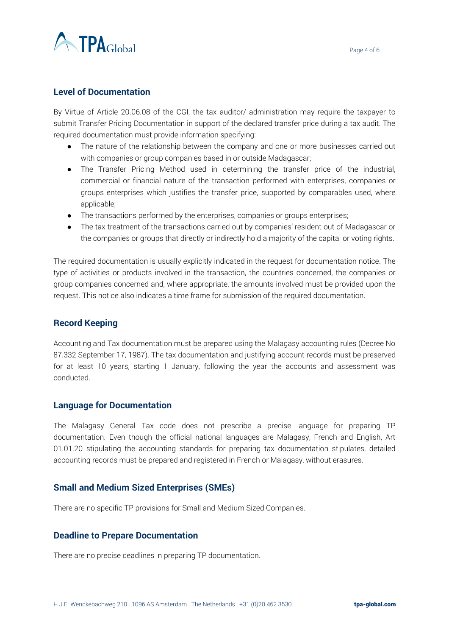

#### **Level of Documentation**

By Virtue of Article 20.06.08 of the CGI, the tax auditor/ administration may require the taxpayer to submit Transfer Pricing Documentation in support of the declared transfer price during a tax audit. The required documentation must provide information specifying:

- The nature of the relationship between the company and one or more businesses carried out with companies or group companies based in or outside Madagascar;
- The Transfer Pricing Method used in determining the transfer price of the industrial, commercial or financial nature of the transaction performed with enterprises, companies or groups enterprises which justifies the transfer price, supported by comparables used, where applicable;
- The transactions performed by the enterprises, companies or groups enterprises;
- The tax treatment of the transactions carried out by companies' resident out of Madagascar or the companies or groups that directly or indirectly hold a majority of the capital or voting rights.

The required documentation is usually explicitly indicated in the request for documentation notice. The type of activities or products involved in the transaction, the countries concerned, the companies or group companies concerned and, where appropriate, the amounts involved must be provided upon the request. This notice also indicates a time frame for submission of the required documentation.

# **Record Keeping**

Accounting and Tax documentation must be prepared using the Malagasy accounting rules (Decree No 87.332 September 17, 1987). The tax documentation and justifying account records must be preserved for at least 10 years, starting 1 January, following the year the accounts and assessment was conducted.

#### **Language for Documentation**

The Malagasy General Tax code does not prescribe a precise language for preparing TP documentation. Even though the official national languages are Malagasy, French and English, Art 01.01.20 stipulating the accounting standards for preparing tax documentation stipulates, detailed accounting records must be prepared and registered in French or Malagasy, without erasures.

#### **Small and Medium Sized Enterprises (SMEs)**

There are no specific TP provisions for Small and Medium Sized Companies.

#### **Deadline to Prepare Documentation**

There are no precise deadlines in preparing TP documentation.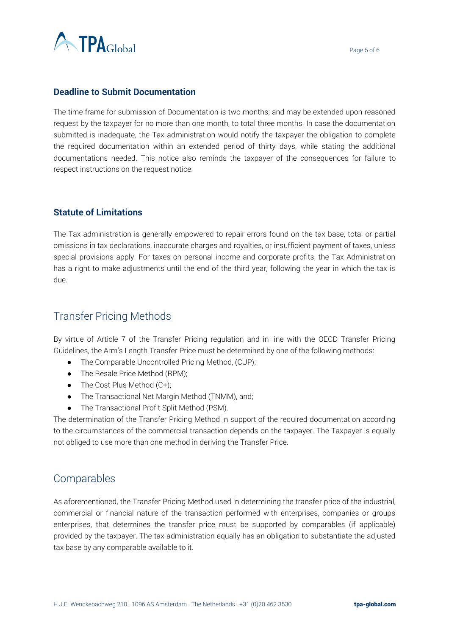

### **Deadline to Submit Documentation**

The time frame for submission of Documentation is two months; and may be extended upon reasoned request by the taxpayer for no more than one month, to total three months. In case the documentation submitted is inadequate, the Tax administration would notify the taxpayer the obligation to complete the required documentation within an extended period of thirty days, while stating the additional documentations needed. This notice also reminds the taxpayer of the consequences for failure to respect instructions on the request notice.

# **Statute of Limitations**

The Tax administration is generally empowered to repair errors found on the tax base, total or partial omissions in tax declarations, inaccurate charges and royalties, or insufficient payment of taxes, unless special provisions apply. For taxes on personal income and corporate profits, the Tax Administration has a right to make adjustments until the end of the third year, following the year in which the tax is due.

# Transfer Pricing Methods

By virtue of Article 7 of the Transfer Pricing regulation and in line with the OECD Transfer Pricing Guidelines, the Arm's Length Transfer Price must be determined by one of the following methods:

- The Comparable Uncontrolled Pricing Method, (CUP);
- The Resale Price Method (RPM);
- $\bullet$  The Cost Plus Method (C+);
- The Transactional Net Margin Method (TNMM), and;
- The Transactional Profit Split Method (PSM).

The determination of the Transfer Pricing Method in support of the required documentation according to the circumstances of the commercial transaction depends on the taxpayer. The Taxpayer is equally not obliged to use more than one method in deriving the Transfer Price.

# Comparables

As aforementioned, the Transfer Pricing Method used in determining the transfer price of the industrial, commercial or financial nature of the transaction performed with enterprises, companies or groups enterprises, that determines the transfer price must be supported by comparables (if applicable) provided by the taxpayer. The tax administration equally has an obligation to substantiate the adjusted tax base by any comparable available to it.